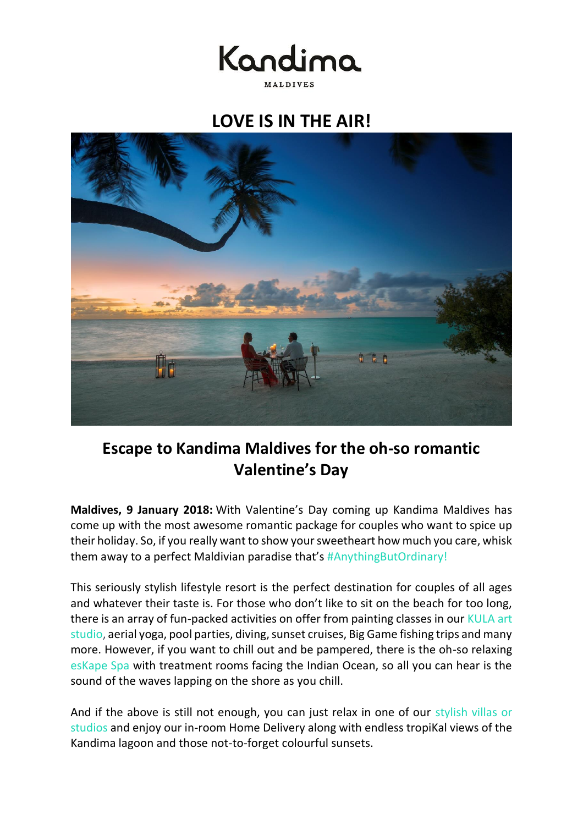Kandima MALDIVES

**LOVE IS IN THE AIR!**



# **Escape to Kandima Maldives for the oh-so romantic Valentine's Day**

**Maldives, 9 January 2018:** With Valentine's Day coming up Kandima Maldives has come up with the most awesome romantic package for couples who want to spice up their holiday. So, if you really want to show your sweetheart how much you care, whisk them away to a perfect Maldivian paradise that's [#AnythingButOrdinary!](http://35wa9.r.bh.d.sendibt3.com/mk/cl/k22V8tMd56NvFYLWQTo9UDAb9OZ3v1ImacVbh9kMSDGiPa4zBUrxC2KioRB32j3CJOXZ5b-H4fOoApNpF0D24CsZdJt0XFTBEnA73bm1wlxUqQA5GJww)

This seriously stylish lifestyle resort is the perfect destination for couples of all ages and whatever their taste is. For those who don't like to sit on the beach for too long, there is an array of fun-packed activities on offer from painting classes in our KULA art [studio,](http://35wa9.r.bh.d.sendibt3.com/mk/cl/jJRzQKWmTqvyeaNlX_XN-Ks3XPr4_I3NKWVjBLz0ZVMsqy5plBn7eVuCsDKUX7dbZt3gSyPotr_ByrUFAAFhhXlg4xGIgosCJUL9s99LSOnrrklSAHHW) aerial yoga, pool parties, diving, sunset cruises, Big Game fishing trips and many more. However, if you want to chill out and be pampered, there is the oh-so relaxing [esKape Spa](http://35wa9.r.bh.d.sendibt3.com/mk/cl/wGrnhg6K15aoTHtRQ8Yg7DeW8-1HQeDJpRyts50Q3BdjdCrK3M8qfAhlXbA3LOfI1Bqh1pxth-Xs9IoOhnhss56xrr5rdwRT5Juit3Ji0JEbyqqbgK0w) with treatment rooms facing the Indian Ocean, so all you can hear is the sound of the waves lapping on the shore as you chill.

And if the above is still not enough, you can just relax in one of our [stylish villas or](http://35wa9.r.bh.d.sendibt3.com/mk/cl/ViuEK535ej2sby5y5CeFqMqc1ytZjBVdTWLKmplSxU9ANkkA6VdbqtXCjqWbHKaoQTktbGLiyRh6VGNu5l_UcKqVZ7a3yjYjaiUxx64zyfR1QCBOXNSD)  [studios](http://35wa9.r.bh.d.sendibt3.com/mk/cl/ViuEK535ej2sby5y5CeFqMqc1ytZjBVdTWLKmplSxU9ANkkA6VdbqtXCjqWbHKaoQTktbGLiyRh6VGNu5l_UcKqVZ7a3yjYjaiUxx64zyfR1QCBOXNSD) and enjoy our in-room Home Delivery along with endless tropiKal views of the Kandima lagoon and those not-to-forget colourful sunsets.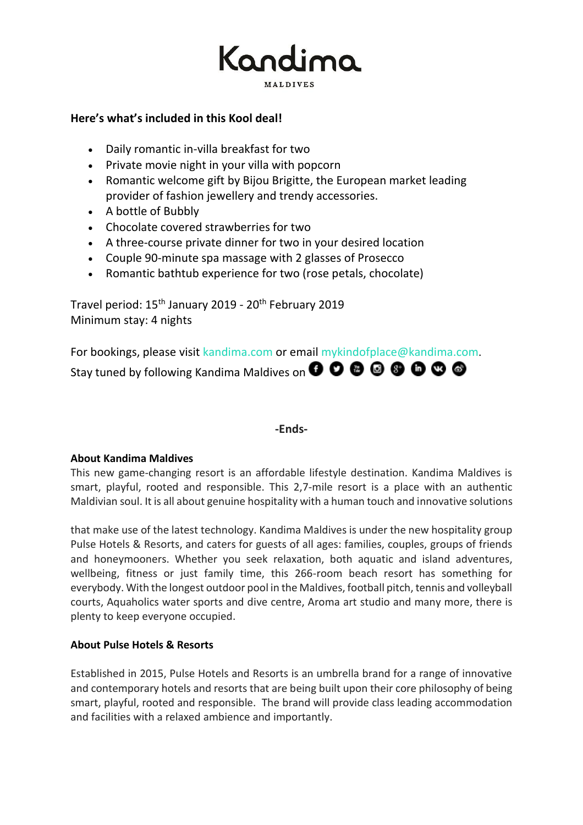

## **Here's what's included in this Kool deal!**

- Daily romantic in-villa breakfast for two
- Private movie night in your villa with popcorn
- Romantic welcome gift by Bijou Brigitte, the European market leading provider of fashion jewellery and trendy accessories.
- A bottle of Bubbly
- Chocolate covered strawberries for two
- A three-course private dinner for two in your desired location
- Couple 90-minute spa massage with 2 glasses of Prosecco
- Romantic bathtub experience for two (rose petals, chocolate)

Travel period: 15<sup>th</sup> January 2019 - 20<sup>th</sup> February 2019 Minimum stay: 4 nights

For bookings, please visit [kandima.com](http://kandima.com/index.php/en/offers/10-packages/164-valentines) or email [mykindofplace@kandima.com](mailto:mykindofplace@kandima.com). Staytuned by following Kandima Maldives on **O O O O O O O O** 

### **-Ends-**

### **About Kandima Maldives**

This new game-changing resort is an affordable lifestyle destination. Kandima Maldives is smart, playful, rooted and responsible. This 2,7-mile resort is a place with an authentic Maldivian soul. It is all about genuine hospitality with a human touch and innovative solutions

that make use of the latest technology. Kandima Maldives is under the new hospitality group Pulse Hotels & Resorts, and caters for guests of all ages: families, couples, groups of friends and honeymooners. Whether you seek relaxation, both aquatic and island adventures, wellbeing, fitness or just family time, this 266-room beach resort has something for everybody. With the longest outdoor pool in the Maldives, football pitch, tennis and volleyball courts, Aquaholics water sports and dive centre, Aroma art studio and many more, there is plenty to keep everyone occupied.

### **About Pulse Hotels & Resorts**

Established in 2015, Pulse Hotels and Resorts is an umbrella brand for a range of innovative and contemporary hotels and resorts that are being built upon their core philosophy of being smart, playful, rooted and responsible. The brand will provide class leading accommodation and facilities with a relaxed ambience and importantly.